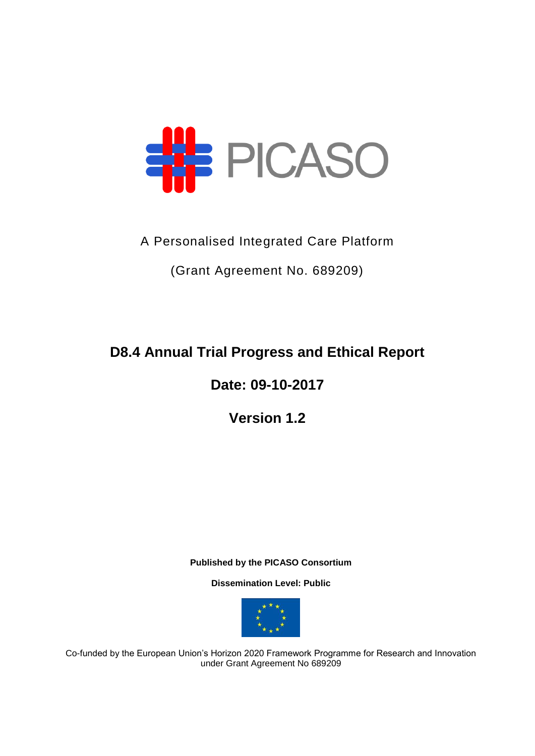

## A Personalised Integrated Care Platform

(Grant Agreement No. 689209)

## **D8.4 Annual Trial Progress and Ethical Report**

## **Date: 09-10-2017**

## **Version 1.2**

**Published by the PICASO Consortium** 

**Dissemination Level: Public**



Co-funded by the European Union's Horizon 2020 Framework Programme for Research and Innovation under Grant Agreement No 689209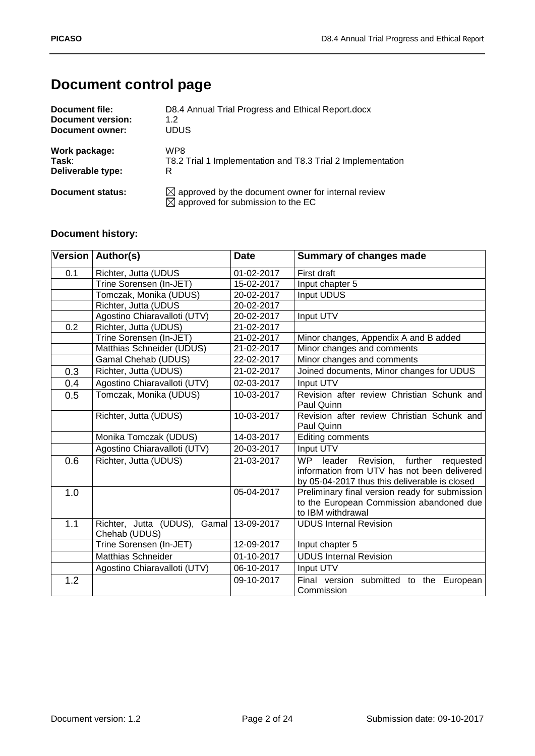## **Document control page**

| Document file:    | D8.4 Annual Trial Progress and Ethical Report.docx                                                              |
|-------------------|-----------------------------------------------------------------------------------------------------------------|
| Document version: | 1.2                                                                                                             |
| Document owner:   | <b>UDUS</b>                                                                                                     |
| Work package:     | WP8                                                                                                             |
| Task:             | T8.2 Trial 1 Implementation and T8.3 Trial 2 Implementation                                                     |
| Deliverable type: | R                                                                                                               |
| Document status:  | $\boxtimes$ approved by the document owner for internal review<br>$\boxtimes$ approved for submission to the EC |

## **Document history:**

|     | Version   Author(s)                           | <b>Date</b>              | <b>Summary of changes made</b>                                                                                                              |
|-----|-----------------------------------------------|--------------------------|---------------------------------------------------------------------------------------------------------------------------------------------|
| 0.1 | Richter, Jutta (UDUS                          | 01-02-2017               | First draft                                                                                                                                 |
|     | Trine Sorensen (In-JET)                       | 15-02-2017               | Input chapter 5                                                                                                                             |
|     | Tomczak, Monika (UDUS)                        | 20-02-2017               | <b>Input UDUS</b>                                                                                                                           |
|     | Richter, Jutta (UDUS                          | 20-02-2017               |                                                                                                                                             |
|     | Agostino Chiaravalloti (UTV)                  | 20-02-2017               | Input UTV                                                                                                                                   |
| 0.2 | Richter, Jutta (UDUS)                         | 21-02-2017               |                                                                                                                                             |
|     | Trine Sorensen (In-JET)                       | 21-02-2017               | Minor changes, Appendix A and B added                                                                                                       |
|     | Matthias Schneider (UDUS)                     | 21-02-2017               | Minor changes and comments                                                                                                                  |
|     | Gamal Chehab (UDUS)                           | 22-02-2017               | Minor changes and comments                                                                                                                  |
| 0.3 | Richter, Jutta (UDUS)                         | 21-02-2017               | Joined documents, Minor changes for UDUS                                                                                                    |
| 0.4 | Agostino Chiaravalloti (UTV)                  | 02-03-2017               | Input UTV                                                                                                                                   |
| 0.5 | Tomczak, Monika (UDUS)                        | 10-03-2017               | Revision after review Christian Schunk and<br>Paul Quinn                                                                                    |
|     | Richter, Jutta (UDUS)                         | 10-03-2017               | Revision after review Christian Schunk and<br>Paul Quinn                                                                                    |
|     | Monika Tomczak (UDUS)                         | 14-03-2017               | Editing comments                                                                                                                            |
|     | Agostino Chiaravalloti (UTV)                  | 20-03-2017               | Input UTV                                                                                                                                   |
| 0.6 | Richter, Jutta (UDUS)                         | 21-03-2017               | WP<br>leader<br>Revision, further requested<br>information from UTV has not been delivered<br>by 05-04-2017 thus this deliverable is closed |
| 1.0 |                                               | 05-04-2017               | Preliminary final version ready for submission<br>to the European Commission abandoned due<br>to IBM withdrawal                             |
| 1.1 | Richter, Jutta (UDUS), Gamal<br>Chehab (UDUS) | 13-09-2017               | <b>UDUS Internal Revision</b>                                                                                                               |
|     | Trine Sorensen (In-JET)                       | $12-09-2017$             | Input chapter 5                                                                                                                             |
|     | <b>Matthias Schneider</b>                     | $\overline{01}$ -10-2017 | <b>UDUS Internal Revision</b>                                                                                                               |
|     | Agostino Chiaravalloti (UTV)                  | 06-10-2017               | Input UTV                                                                                                                                   |
| 1.2 |                                               | 09-10-2017               | Final version submitted to the European<br>Commission                                                                                       |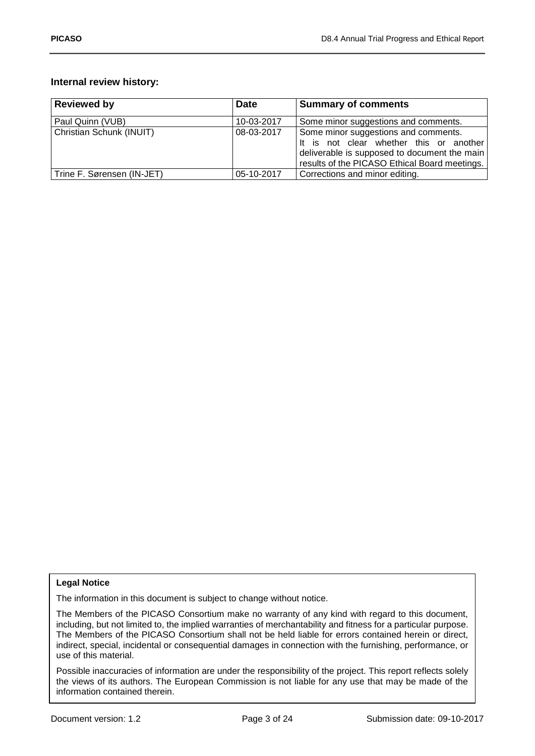## **Internal review history:**

| <b>Reviewed by</b>         | <b>Date</b> | <b>Summary of comments</b>                                                                                                                                                       |
|----------------------------|-------------|----------------------------------------------------------------------------------------------------------------------------------------------------------------------------------|
| Paul Quinn (VUB)           | 10-03-2017  | Some minor suggestions and comments.                                                                                                                                             |
| Christian Schunk (INUIT)   | 08-03-2017  | Some minor suggestions and comments.<br>It is not clear whether this or another<br>deliverable is supposed to document the main<br>results of the PICASO Ethical Board meetings. |
| Trine F. Sørensen (IN-JET) | 05-10-2017  | Corrections and minor editing.                                                                                                                                                   |

#### **Legal Notice**

The information in this document is subject to change without notice.

The Members of the PICASO Consortium make no warranty of any kind with regard to this document, including, but not limited to, the implied warranties of merchantability and fitness for a particular purpose. The Members of the PICASO Consortium shall not be held liable for errors contained herein or direct, indirect, special, incidental or consequential damages in connection with the furnishing, performance, or use of this material.

Possible inaccuracies of information are under the responsibility of the project. This report reflects solely the views of its authors. The European Commission is not liable for any use that may be made of the information contained therein.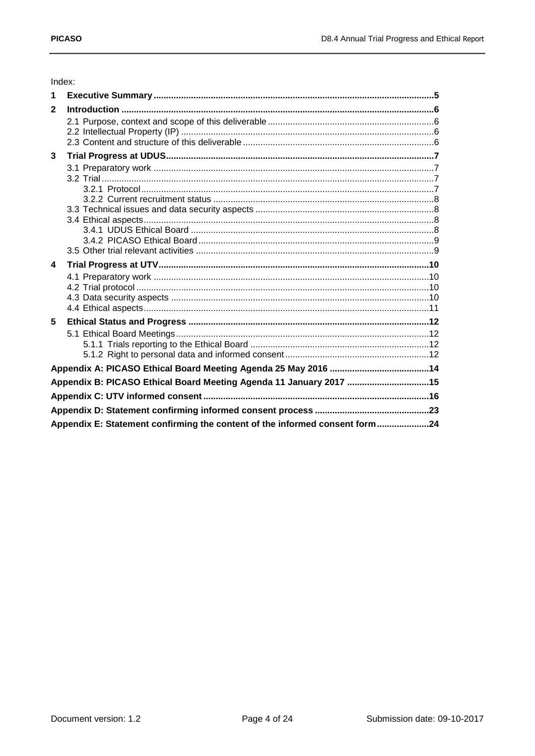# Index:

| $\mathbf{1}$     |                                                                    |  |
|------------------|--------------------------------------------------------------------|--|
| $\overline{2}$   |                                                                    |  |
|                  |                                                                    |  |
|                  |                                                                    |  |
|                  |                                                                    |  |
| 3                |                                                                    |  |
|                  |                                                                    |  |
|                  |                                                                    |  |
|                  |                                                                    |  |
|                  |                                                                    |  |
|                  |                                                                    |  |
|                  |                                                                    |  |
|                  |                                                                    |  |
|                  |                                                                    |  |
|                  |                                                                    |  |
| $\blacktriangle$ |                                                                    |  |
|                  |                                                                    |  |
|                  |                                                                    |  |
|                  |                                                                    |  |
|                  |                                                                    |  |
| 5                |                                                                    |  |
|                  |                                                                    |  |
|                  |                                                                    |  |
|                  |                                                                    |  |
|                  |                                                                    |  |
|                  | Appendix B: PICASO Ethical Board Meeting Agenda 11 January 2017 15 |  |
|                  |                                                                    |  |
|                  |                                                                    |  |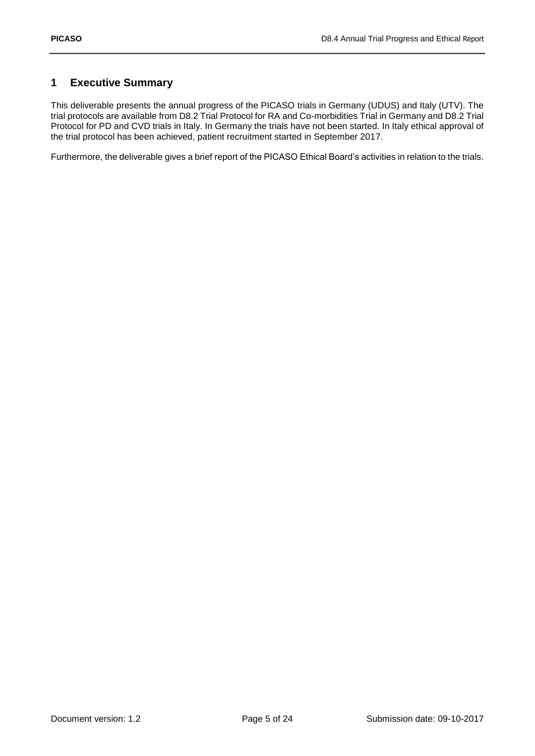## <span id="page-4-0"></span>**1 Executive Summary**

This deliverable presents the annual progress of the PICASO trials in Germany (UDUS) and Italy (UTV). The trial protocols are available from D8.2 Trial Protocol for RA and Co-morbidities Trial in Germany and D8.2 Trial Protocol for PD and CVD trials in Italy. In Germany the trials have not been started. In Italy ethical approval of the trial protocol has been achieved, patient recruitment started in September 2017.

Furthermore, the deliverable gives a brief report of the PICASO Ethical Board's activities in relation to the trials.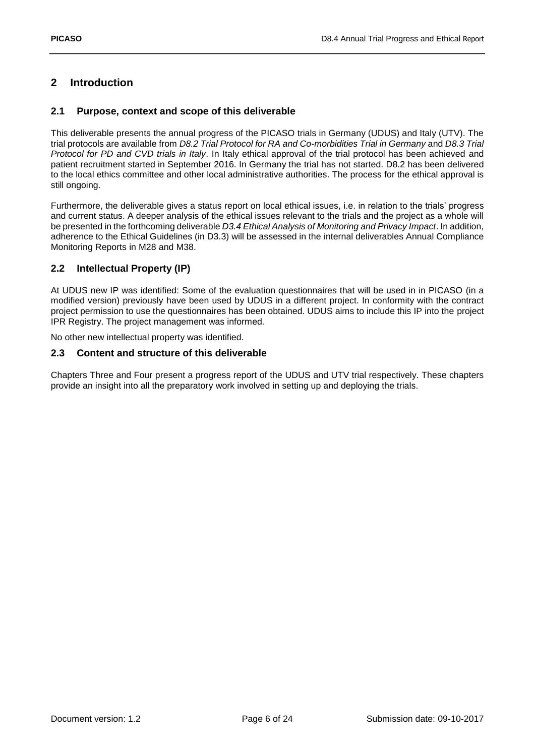## <span id="page-5-0"></span>**2 Introduction**

### <span id="page-5-1"></span>**2.1 Purpose, context and scope of this deliverable**

This deliverable presents the annual progress of the PICASO trials in Germany (UDUS) and Italy (UTV). The trial protocols are available from *D8.2 Trial Protocol for RA and Co-morbidities Trial in Germany* and *D8.3 Trial Protocol for PD and CVD trials in Italy*. In Italy ethical approval of the trial protocol has been achieved and patient recruitment started in September 2016. In Germany the trial has not started. D8.2 has been delivered to the local ethics committee and other local administrative authorities. The process for the ethical approval is still ongoing.

Furthermore, the deliverable gives a status report on local ethical issues, i.e. in relation to the trials' progress and current status. A deeper analysis of the ethical issues relevant to the trials and the project as a whole will be presented in the forthcoming deliverable *D3.4 Ethical Analysis of Monitoring and Privacy Impact*. In addition, adherence to the Ethical Guidelines (in D3.3) will be assessed in the internal deliverables Annual Compliance Monitoring Reports in M28 and M38.

## <span id="page-5-2"></span>**2.2 Intellectual Property (IP)**

At UDUS new IP was identified: Some of the evaluation questionnaires that will be used in in PICASO (in a modified version) previously have been used by UDUS in a different project. In conformity with the contract project permission to use the questionnaires has been obtained. UDUS aims to include this IP into the project IPR Registry. The project management was informed.

No other new intellectual property was identified.

### <span id="page-5-3"></span>**2.3 Content and structure of this deliverable**

Chapters Three and Four present a progress report of the UDUS and UTV trial respectively. These chapters provide an insight into all the preparatory work involved in setting up and deploying the trials.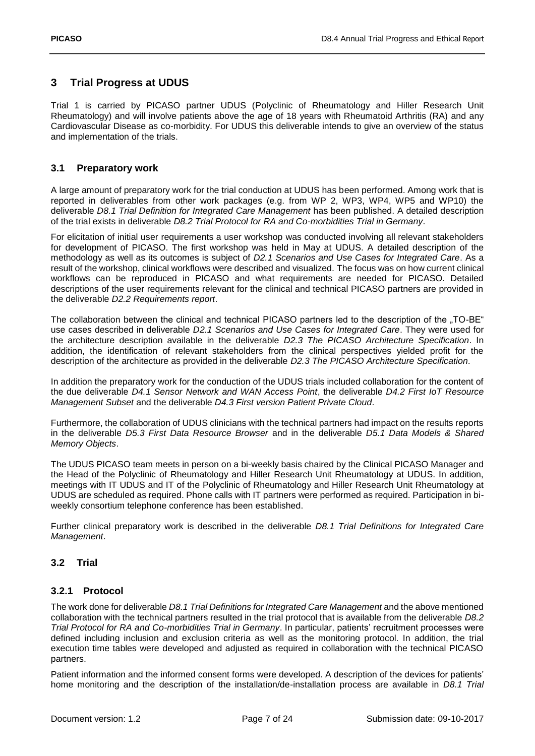## <span id="page-6-0"></span>**3 Trial Progress at UDUS**

Trial 1 is carried by PICASO partner UDUS (Polyclinic of Rheumatology and Hiller Research Unit Rheumatology) and will involve patients above the age of 18 years with Rheumatoid Arthritis (RA) and any Cardiovascular Disease as co-morbidity. For UDUS this deliverable intends to give an overview of the status and implementation of the trials.

## <span id="page-6-1"></span>**3.1 Preparatory work**

A large amount of preparatory work for the trial conduction at UDUS has been performed. Among work that is reported in deliverables from other work packages (e.g. from WP 2, WP3, WP4, WP5 and WP10) the deliverable *D8.1 Trial Definition for Integrated Care Management* has been published. A detailed description of the trial exists in deliverable *D8.2 Trial Protocol for RA and Co-morbidities Trial in Germany*.

For elicitation of initial user requirements a user workshop was conducted involving all relevant stakeholders for development of PICASO. The first workshop was held in May at UDUS. A detailed description of the methodology as well as its outcomes is subject of *D2.1 Scenarios and Use Cases for Integrated Care*. As a result of the workshop, clinical workflows were described and visualized. The focus was on how current clinical workflows can be reproduced in PICASO and what requirements are needed for PICASO. Detailed descriptions of the user requirements relevant for the clinical and technical PICASO partners are provided in the deliverable *D2.2 Requirements report*.

The collaboration between the clinical and technical PICASO partners led to the description of the "TO-BE" use cases described in deliverable *D2.1 Scenarios and Use Cases for Integrated Care*. They were used for the architecture description available in the deliverable *D2.3 The PICASO Architecture Specification*. In addition, the identification of relevant stakeholders from the clinical perspectives yielded profit for the description of the architecture as provided in the deliverable *D2.3 The PICASO Architecture Specification*.

In addition the preparatory work for the conduction of the UDUS trials included collaboration for the content of the due deliverable *D4.1 Sensor Network and WAN Access Point*, the deliverable *D4.2 First IoT Resource Management Subset* and the deliverable *D4.3 First version Patient Private Cloud*.

Furthermore, the collaboration of UDUS clinicians with the technical partners had impact on the results reports in the deliverable *D5.3 First Data Resource Browser* and in the deliverable *D5.1 Data Models & Shared Memory Objects*.

The UDUS PICASO team meets in person on a bi-weekly basis chaired by the Clinical PICASO Manager and the Head of the Polyclinic of Rheumatology and Hiller Research Unit Rheumatology at UDUS. In addition, meetings with IT UDUS and IT of the Polyclinic of Rheumatology and Hiller Research Unit Rheumatology at UDUS are scheduled as required. Phone calls with IT partners were performed as required. Participation in biweekly consortium telephone conference has been established.

Further clinical preparatory work is described in the deliverable *D8.1 Trial Definitions for Integrated Care Management*.

## <span id="page-6-2"></span>**3.2 Trial**

#### <span id="page-6-3"></span>**3.2.1 Protocol**

The work done for deliverable *D8.1 Trial Definitions for Integrated Care Management* and the above mentioned collaboration with the technical partners resulted in the trial protocol that is available from the deliverable *D8.2 Trial Protocol for RA and Co-morbidities Trial in Germany*. In particular, patients' recruitment processes were defined including inclusion and exclusion criteria as well as the monitoring protocol. In addition, the trial execution time tables were developed and adjusted as required in collaboration with the technical PICASO partners.

Patient information and the informed consent forms were developed. A description of the devices for patients' home monitoring and the description of the installation/de-installation process are available in *D8.1 Trial*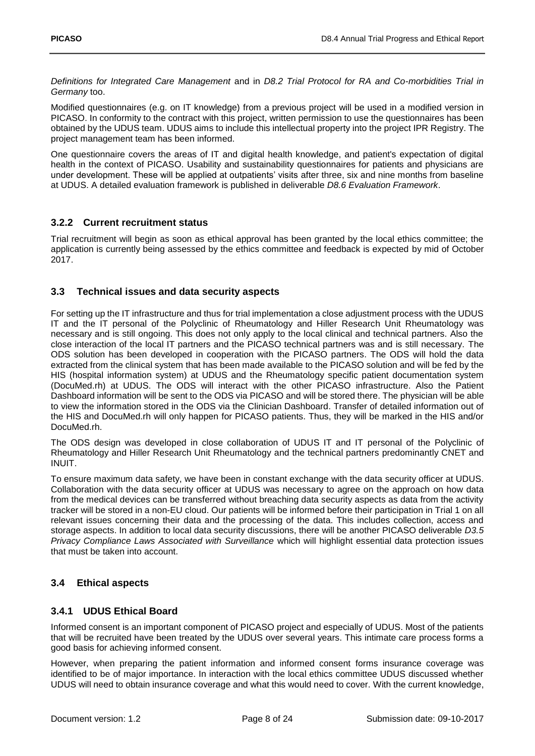*Definitions for Integrated Care Management* and in *D8.2 Trial Protocol for RA and Co-morbidities Trial in Germany* too.

Modified questionnaires (e.g. on IT knowledge) from a previous project will be used in a modified version in PICASO. In conformity to the contract with this project, written permission to use the questionnaires has been obtained by the UDUS team. UDUS aims to include this intellectual property into the project IPR Registry. The project management team has been informed.

One questionnaire covers the areas of IT and digital health knowledge, and patient's expectation of digital health in the context of PICASO. Usability and sustainability questionnaires for patients and physicians are under development. These will be applied at outpatients' visits after three, six and nine months from baseline at UDUS. A detailed evaluation framework is published in deliverable *D8.6 Evaluation Framework*.

## <span id="page-7-0"></span>**3.2.2 Current recruitment status**

Trial recruitment will begin as soon as ethical approval has been granted by the local ethics committee; the application is currently being assessed by the ethics committee and feedback is expected by mid of October 2017.

## <span id="page-7-1"></span>**3.3 Technical issues and data security aspects**

For setting up the IT infrastructure and thus for trial implementation a close adjustment process with the UDUS IT and the IT personal of the Polyclinic of Rheumatology and Hiller Research Unit Rheumatology was necessary and is still ongoing. This does not only apply to the local clinical and technical partners. Also the close interaction of the local IT partners and the PICASO technical partners was and is still necessary. The ODS solution has been developed in cooperation with the PICASO partners. The ODS will hold the data extracted from the clinical system that has been made available to the PICASO solution and will be fed by the HIS (hospital information system) at UDUS and the Rheumatology specific patient documentation system (DocuMed.rh) at UDUS. The ODS will interact with the other PICASO infrastructure. Also the Patient Dashboard information will be sent to the ODS via PICASO and will be stored there. The physician will be able to view the information stored in the ODS via the Clinician Dashboard. Transfer of detailed information out of the HIS and DocuMed.rh will only happen for PICASO patients. Thus, they will be marked in the HIS and/or DocuMed.rh.

The ODS design was developed in close collaboration of UDUS IT and IT personal of the Polyclinic of Rheumatology and Hiller Research Unit Rheumatology and the technical partners predominantly CNET and INUIT.

To ensure maximum data safety, we have been in constant exchange with the data security officer at UDUS. Collaboration with the data security officer at UDUS was necessary to agree on the approach on how data from the medical devices can be transferred without breaching data security aspects as data from the activity tracker will be stored in a non-EU cloud. Our patients will be informed before their participation in Trial 1 on all relevant issues concerning their data and the processing of the data. This includes collection, access and storage aspects. In addition to local data security discussions, there will be another PICASO deliverable *D3.5 Privacy Compliance Laws Associated with Surveillance* which will highlight essential data protection issues that must be taken into account.

## <span id="page-7-2"></span>**3.4 Ethical aspects**

## <span id="page-7-3"></span>**3.4.1 UDUS Ethical Board**

Informed consent is an important component of PICASO project and especially of UDUS. Most of the patients that will be recruited have been treated by the UDUS over several years. This intimate care process forms a good basis for achieving informed consent.

However, when preparing the patient information and informed consent forms insurance coverage was identified to be of major importance. In interaction with the local ethics committee UDUS discussed whether UDUS will need to obtain insurance coverage and what this would need to cover. With the current knowledge,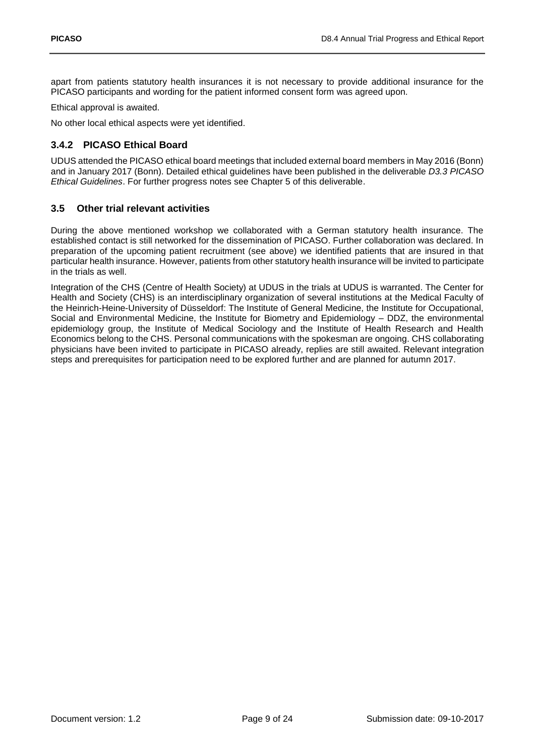apart from patients statutory health insurances it is not necessary to provide additional insurance for the PICASO participants and wording for the patient informed consent form was agreed upon.

Ethical approval is awaited.

No other local ethical aspects were yet identified.

## <span id="page-8-0"></span>**3.4.2 PICASO Ethical Board**

UDUS attended the PICASO ethical board meetings that included external board members in May 2016 (Bonn) and in January 2017 (Bonn). Detailed ethical guidelines have been published in the deliverable *D3.3 PICASO Ethical Guidelines*. For further progress notes see Chapter 5 of this deliverable.

### <span id="page-8-1"></span>**3.5 Other trial relevant activities**

During the above mentioned workshop we collaborated with a German statutory health insurance. The established contact is still networked for the dissemination of PICASO. Further collaboration was declared. In preparation of the upcoming patient recruitment (see above) we identified patients that are insured in that particular health insurance. However, patients from other statutory health insurance will be invited to participate in the trials as well.

Integration of the CHS (Centre of Health Society) at UDUS in the trials at UDUS is warranted. The Center for Health and Society (CHS) is an interdisciplinary organization of several institutions at the Medical Faculty of the Heinrich-Heine-University of Düsseldorf: The Institute of General Medicine, the Institute for Occupational, Social and Environmental Medicine, the Institute for Biometry and Epidemiology – DDZ, the environmental epidemiology group, the Institute of Medical Sociology and the Institute of Health Research and Health Economics belong to the CHS. Personal communications with the spokesman are ongoing. CHS collaborating physicians have been invited to participate in PICASO already, replies are still awaited. Relevant integration steps and prerequisites for participation need to be explored further and are planned for autumn 2017.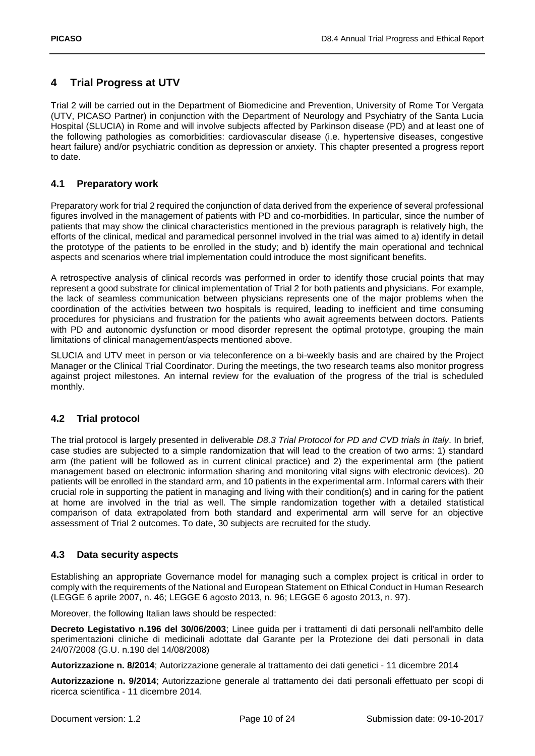## <span id="page-9-0"></span>**4 Trial Progress at UTV**

Trial 2 will be carried out in the Department of Biomedicine and Prevention, University of Rome Tor Vergata (UTV, PICASO Partner) in conjunction with the Department of Neurology and Psychiatry of the Santa Lucia Hospital (SLUCIA) in Rome and will involve subjects affected by Parkinson disease (PD) and at least one of the following pathologies as comorbidities: cardiovascular disease (i.e. hypertensive diseases, congestive heart failure) and/or psychiatric condition as depression or anxiety. This chapter presented a progress report to date.

## <span id="page-9-1"></span>**4.1 Preparatory work**

Preparatory work for trial 2 required the conjunction of data derived from the experience of several professional figures involved in the management of patients with PD and co-morbidities. In particular, since the number of patients that may show the clinical characteristics mentioned in the previous paragraph is relatively high, the efforts of the clinical, medical and paramedical personnel involved in the trial was aimed to a) identify in detail the prototype of the patients to be enrolled in the study; and b) identify the main operational and technical aspects and scenarios where trial implementation could introduce the most significant benefits.

A retrospective analysis of clinical records was performed in order to identify those crucial points that may represent a good substrate for clinical implementation of Trial 2 for both patients and physicians. For example, the lack of seamless communication between physicians represents one of the major problems when the coordination of the activities between two hospitals is required, leading to inefficient and time consuming procedures for physicians and frustration for the patients who await agreements between doctors. Patients with PD and autonomic dysfunction or mood disorder represent the optimal prototype, grouping the main limitations of clinical management/aspects mentioned above.

SLUCIA and UTV meet in person or via teleconference on a bi-weekly basis and are chaired by the Project Manager or the Clinical Trial Coordinator. During the meetings, the two research teams also monitor progress against project milestones. An internal review for the evaluation of the progress of the trial is scheduled monthly.

## <span id="page-9-2"></span>**4.2 Trial protocol**

The trial protocol is largely presented in deliverable *D8.3 Trial Protocol for PD and CVD trials in Italy*. In brief, case studies are subjected to a simple randomization that will lead to the creation of two arms: 1) standard arm (the patient will be followed as in current clinical practice) and 2) the experimental arm (the patient management based on electronic information sharing and monitoring vital signs with electronic devices). 20 patients will be enrolled in the standard arm, and 10 patients in the experimental arm. Informal carers with their crucial role in supporting the patient in managing and living with their condition(s) and in caring for the patient at home are involved in the trial as well. The simple randomization together with a detailed statistical comparison of data extrapolated from both standard and experimental arm will serve for an objective assessment of Trial 2 outcomes. To date, 30 subjects are recruited for the study.

## <span id="page-9-3"></span>**4.3 Data security aspects**

Establishing an appropriate Governance model for managing such a complex project is critical in order to comply with the requirements of the National and European Statement on Ethical Conduct in Human Research (LEGGE 6 aprile 2007, n. 46; LEGGE 6 agosto 2013, n. 96; LEGGE 6 agosto 2013, n. 97).

Moreover, the following Italian laws should be respected:

**Decreto Legistativo n.196 del 30/06/2003**; Linee guida per i trattamenti di dati personali nell'ambito delle sperimentazioni cliniche di medicinali adottate dal Garante per la Protezione dei dati personali in data 24/07/2008 (G.U. n.190 del 14/08/2008)

**Autorizzazione n. 8/2014**; Autorizzazione generale al trattamento dei dati genetici - 11 dicembre 2014

**Autorizzazione n. 9/2014**; Autorizzazione generale al trattamento dei dati personali effettuato per scopi di ricerca scientifica - 11 dicembre 2014.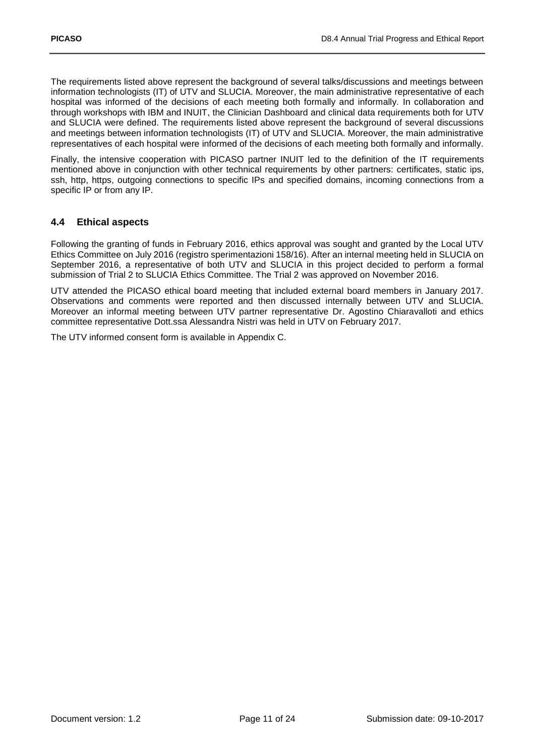The requirements listed above represent the background of several talks/discussions and meetings between information technologists (IT) of UTV and SLUCIA. Moreover, the main administrative representative of each hospital was informed of the decisions of each meeting both formally and informally. In collaboration and through workshops with IBM and INUIT, the Clinician Dashboard and clinical data requirements both for UTV and SLUCIA were defined. The requirements listed above represent the background of several discussions and meetings between information technologists (IT) of UTV and SLUCIA. Moreover, the main administrative representatives of each hospital were informed of the decisions of each meeting both formally and informally.

Finally, the intensive cooperation with PICASO partner INUIT led to the definition of the IT requirements mentioned above in conjunction with other technical requirements by other partners: certificates, static ips, ssh, http, https, outgoing connections to specific IPs and specified domains, incoming connections from a specific IP or from any IP.

## <span id="page-10-0"></span>**4.4 Ethical aspects**

Following the granting of funds in February 2016, ethics approval was sought and granted by the Local UTV Ethics Committee on July 2016 (registro sperimentazioni 158/16). After an internal meeting held in SLUCIA on September 2016, a representative of both UTV and SLUCIA in this project decided to perform a formal submission of Trial 2 to SLUCIA Ethics Committee. The Trial 2 was approved on November 2016.

UTV attended the PICASO ethical board meeting that included external board members in January 2017. Observations and comments were reported and then discussed internally between UTV and SLUCIA. Moreover an informal meeting between UTV partner representative Dr. Agostino Chiaravalloti and ethics committee representative Dott.ssa Alessandra Nistri was held in UTV on February 2017.

The UTV informed consent form is available in Appendix C.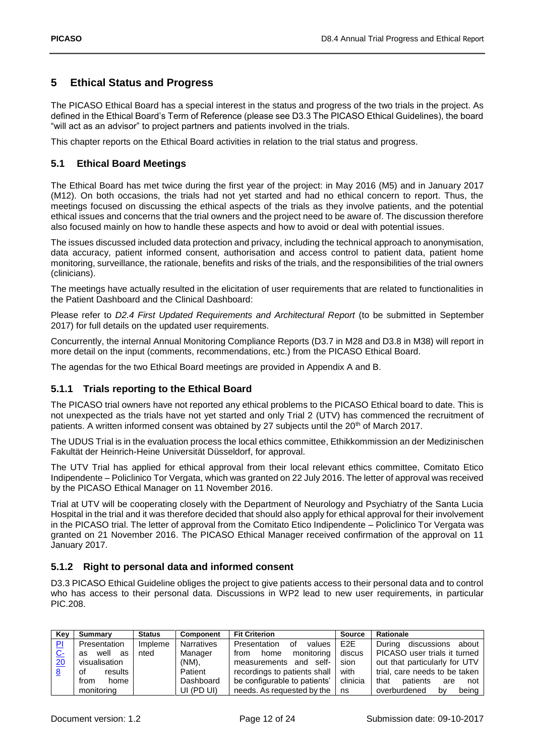## <span id="page-11-0"></span>**5 Ethical Status and Progress**

The PICASO Ethical Board has a special interest in the status and progress of the two trials in the project. As defined in the Ethical Board's Term of Reference (please see D3.3 The PICASO Ethical Guidelines), the board "will act as an advisor" to project partners and patients involved in the trials.

This chapter reports on the Ethical Board activities in relation to the trial status and progress.

## <span id="page-11-1"></span>**5.1 Ethical Board Meetings**

The Ethical Board has met twice during the first year of the project: in May 2016 (M5) and in January 2017 (M12). On both occasions, the trials had not yet started and had no ethical concern to report. Thus, the meetings focused on discussing the ethical aspects of the trials as they involve patients, and the potential ethical issues and concerns that the trial owners and the project need to be aware of. The discussion therefore also focused mainly on how to handle these aspects and how to avoid or deal with potential issues.

The issues discussed included data protection and privacy, including the technical approach to anonymisation, data accuracy, patient informed consent, authorisation and access control to patient data, patient home monitoring, surveillance, the rationale, benefits and risks of the trials, and the responsibilities of the trial owners (clinicians).

The meetings have actually resulted in the elicitation of user requirements that are related to functionalities in the Patient Dashboard and the Clinical Dashboard:

Please refer to *D2.4 First Updated Requirements and Architectural Report* (to be submitted in September 2017) for full details on the updated user requirements.

Concurrently, the internal Annual Monitoring Compliance Reports (D3.7 in M28 and D3.8 in M38) will report in more detail on the input (comments, recommendations, etc.) from the PICASO Ethical Board.

The agendas for the two Ethical Board meetings are provided in Appendix A and B.

## <span id="page-11-2"></span>**5.1.1 Trials reporting to the Ethical Board**

The PICASO trial owners have not reported any ethical problems to the PICASO Ethical board to date. This is not unexpected as the trials have not yet started and only Trial 2 (UTV) has commenced the recruitment of patients. A written informed consent was obtained by 27 subjects until the 20th of March 2017.

The UDUS Trial is in the evaluation process the local ethics committee, Ethikkommission an der Medizinischen Fakultät der Heinrich-Heine Universität Düsseldorf, for approval.

The UTV Trial has applied for ethical approval from their local relevant ethics committee, Comitato Etico Indipendente – Policlinico Tor Vergata, which was granted on 22 July 2016. The letter of approval was received by the PICASO Ethical Manager on 11 November 2016.

Trial at UTV will be cooperating closely with the Department of Neurology and Psychiatry of the Santa Lucia Hospital in the trial and it was therefore decided that should also apply for ethical approval for their involvement in the PICASO trial. The letter of approval from the Comitato Etico Indipendente – Policlinico Tor Vergata was granted on 21 November 2016. The PICASO Ethical Manager received confirmation of the approval on 11 January 2017.

#### <span id="page-11-3"></span>**5.1.2 Right to personal data and informed consent**

D3.3 PICASO Ethical Guideline obliges the project to give patients access to their personal data and to control who has access to their personal data. Discussions in WP2 lead to new user requirements, in particular PIC.208.

| Kev       | <b>Summary</b> | <b>Status</b> | <b>Component</b> | <b>Fit Criterion</b><br><b>Source</b> |                  | Rationale                      |
|-----------|----------------|---------------|------------------|---------------------------------------|------------------|--------------------------------|
| P1        | Presentation   | Impleme       | Narratives       | Presentation<br>of<br>values          | E <sub>2</sub> E | discussions about<br>Durina    |
| <u>C-</u> | well as<br>as  | nted          | Manager          | monitoring<br>home<br>from            | discus           | PICASO user trials it turned   |
| 20        | visualisation  |               | (NM),            | measurements and self-                | sion             | out that particularly for UTV  |
| <u>8</u>  | results<br>οf  |               | Patient          | recordings to patients shall          | with             | trial, care needs to be taken  |
|           | home<br>from   |               | Dashboard        | be configurable to patients'          | clinicia         | that<br>patients<br>not<br>are |
|           | monitoring     |               | UI (PD UI)       | needs. As requested by the            | ns               | overburdened<br>being<br>bv    |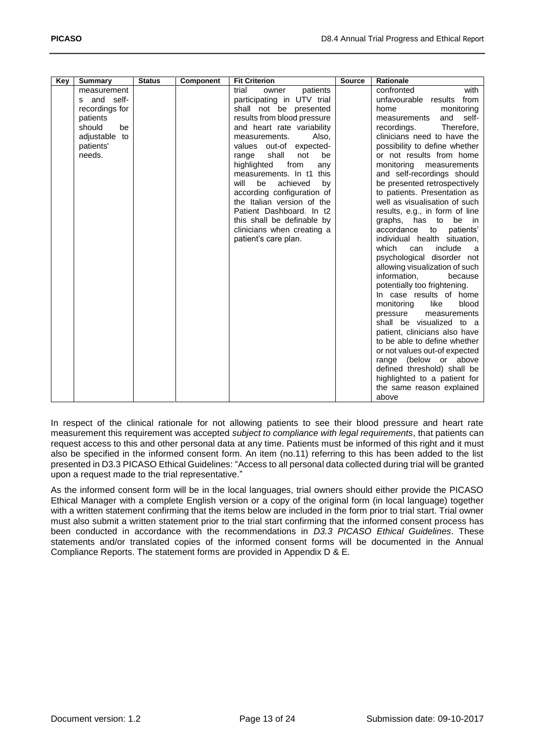| Key | <b>Summary</b> | <b>Status</b> | Component | <b>Fit Criterion</b>         | <b>Source</b> | Rationale                      |
|-----|----------------|---------------|-----------|------------------------------|---------------|--------------------------------|
|     | measurement    |               |           | trial<br>patients<br>owner   |               | confronted<br>with             |
|     | s and self-    |               |           | participating in UTV trial   |               | unfavourable results<br>from   |
|     | recordings for |               |           | shall not be presented       |               | monitoring<br>home             |
|     | patients       |               |           | results from blood pressure  |               | self-<br>and<br>measurements   |
|     | should<br>be   |               |           | and heart rate variability   |               | Therefore.<br>recordings.      |
|     | adjustable to  |               |           | Also,<br>measurements.       |               | clinicians need to have the    |
|     | patients'      |               |           | values out-of expected-      |               | possibility to define whether  |
|     | needs.         |               |           | shall<br>not<br>be<br>range  |               | or not results from home       |
|     |                |               |           | highlighted<br>from<br>any   |               | monitoring<br>measurements     |
|     |                |               |           | measurements. In t1<br>this  |               | and self-recordings should     |
|     |                |               |           | achieved<br>by<br>will<br>be |               | be presented retrospectively   |
|     |                |               |           | according configuration of   |               | to patients. Presentation as   |
|     |                |               |           | the Italian version of the   |               | well as visualisation of such  |
|     |                |               |           | Patient Dashboard. In t2     |               | results, e.g., in form of line |
|     |                |               |           | this shall be definable by   |               | has to be<br>graphs,<br>in.    |
|     |                |               |           | clinicians when creating a   |               | accordance<br>to<br>patients'  |
|     |                |               |           | patient's care plan.         |               | individual health situation,   |
|     |                |               |           |                              |               | which<br>include<br>can<br>a   |
|     |                |               |           |                              |               | psychological disorder not     |
|     |                |               |           |                              |               | allowing visualization of such |
|     |                |               |           |                              |               | information,<br>because        |
|     |                |               |           |                              |               | potentially too frightening.   |
|     |                |               |           |                              |               | In case results of home        |
|     |                |               |           |                              |               |                                |
|     |                |               |           |                              |               | monitoring<br>like<br>blood    |
|     |                |               |           |                              |               | pressure<br>measurements       |
|     |                |               |           |                              |               | shall be visualized to a       |
|     |                |               |           |                              |               | patient, clinicians also have  |
|     |                |               |           |                              |               | to be able to define whether   |
|     |                |               |           |                              |               | or not values out-of expected  |
|     |                |               |           |                              |               | (below or above<br>range       |
|     |                |               |           |                              |               | defined threshold) shall be    |
|     |                |               |           |                              |               | highlighted to a patient for   |
|     |                |               |           |                              |               | the same reason explained      |
|     |                |               |           |                              |               | above                          |

In respect of the clinical rationale for not allowing patients to see their blood pressure and heart rate measurement this requirement was accepted *subject to compliance with legal requirements*, that patients can request access to this and other personal data at any time. Patients must be informed of this right and it must also be specified in the informed consent form. An item (no.11) referring to this has been added to the list presented in D3.3 PICASO Ethical Guidelines: "Access to all personal data collected during trial will be granted upon a request made to the trial representative."

As the informed consent form will be in the local languages, trial owners should either provide the PICASO Ethical Manager with a complete English version or a copy of the original form (in local language) together with a written statement confirming that the items below are included in the form prior to trial start. Trial owner must also submit a written statement prior to the trial start confirming that the informed consent process has been conducted in accordance with the recommendations in *D3.3 PICASO Ethical Guidelines*. These statements and/or translated copies of the informed consent forms will be documented in the Annual Compliance Reports. The statement forms are provided in Appendix D & E.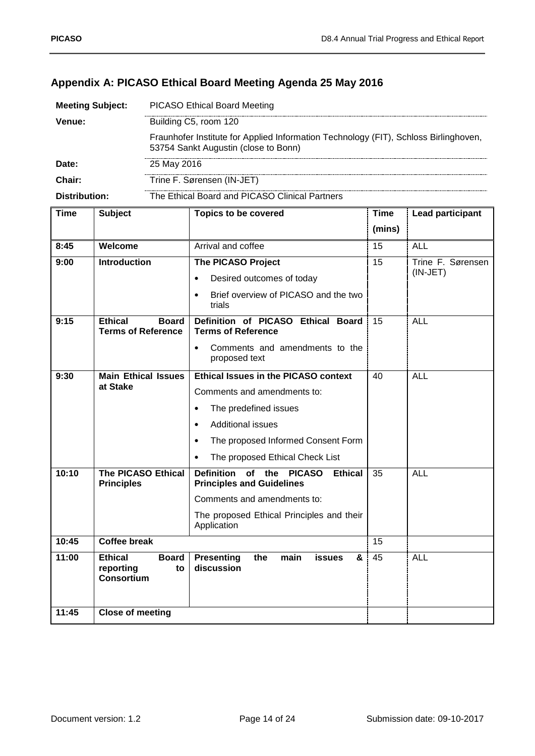## <span id="page-13-0"></span>**Appendix A: PICASO Ethical Board Meeting Agenda 25 May 2016**

| <b>Meeting Subject:</b> | <b>PICASO Ethical Board Meeting</b>                                                                                          |
|-------------------------|------------------------------------------------------------------------------------------------------------------------------|
| Venue:                  | Building C5, room 120                                                                                                        |
|                         | Fraunhofer Institute for Applied Information Technology (FIT), Schloss Birlinghoven,<br>53754 Sankt Augustin (close to Bonn) |
| Date:                   | 25 May 2016                                                                                                                  |
| Chair:                  | Trine F. Sørensen (IN-JET)                                                                                                   |
| Distribution:           | The Ethical Board and PICASO Clinical Partners                                                                               |

| <b>Time</b> | <b>Subject</b>                                              | <b>Topics to be covered</b>                                                                                     | <b>Time</b>     | <b>Lead participant</b> |
|-------------|-------------------------------------------------------------|-----------------------------------------------------------------------------------------------------------------|-----------------|-------------------------|
|             |                                                             |                                                                                                                 | (mins)          |                         |
| 8:45        | Welcome                                                     | Arrival and coffee                                                                                              | 15              | <b>ALL</b>              |
| 9:00        | <b>Introduction</b>                                         | <b>The PICASO Project</b>                                                                                       | $\overline{15}$ | Trine F. Sørensen       |
|             |                                                             | Desired outcomes of today<br>$\bullet$                                                                          |                 | $(IN-JET)$              |
|             |                                                             | Brief overview of PICASO and the two<br>$\bullet$<br>trials                                                     |                 |                         |
| 9:15        | <b>Ethical</b><br><b>Board</b><br><b>Terms of Reference</b> | Definition of PICASO Ethical Board<br><b>Terms of Reference</b>                                                 | 15              | <b>ALL</b>              |
|             |                                                             | Comments and amendments to the<br>$\bullet$<br>proposed text                                                    |                 |                         |
| 9:30        | <b>Main Ethical Issues</b>                                  | <b>Ethical Issues in the PICASO context</b>                                                                     | 40              | <b>ALL</b>              |
|             | at Stake                                                    | Comments and amendments to:                                                                                     |                 |                         |
|             |                                                             | The predefined issues<br>$\bullet$                                                                              |                 |                         |
|             |                                                             | <b>Additional issues</b><br>$\bullet$                                                                           |                 |                         |
|             |                                                             | The proposed Informed Consent Form<br>$\bullet$                                                                 |                 |                         |
|             |                                                             | The proposed Ethical Check List<br>$\bullet$                                                                    |                 |                         |
| 10:10       | <b>The PICASO Ethical</b><br><b>Principles</b>              | <b>Definition</b><br>$\overline{of}$ the<br><b>PICASO</b><br><b>Ethical</b><br><b>Principles and Guidelines</b> | $\overline{35}$ | <b>ALL</b>              |
|             |                                                             | Comments and amendments to:                                                                                     |                 |                         |
|             |                                                             | The proposed Ethical Principles and their<br>Application                                                        |                 |                         |
| 10:45       | <b>Coffee break</b>                                         |                                                                                                                 | 15              |                         |
| 11:00       | Ethical<br><b>Board</b><br>reporting<br>to<br>Consortium    | <b>Presenting</b><br>the<br>main<br>&<br><b>issues</b><br>discussion                                            | 45              | <b>ALL</b>              |
| 11:45       | <b>Close of meeting</b>                                     |                                                                                                                 |                 |                         |
|             |                                                             |                                                                                                                 |                 |                         |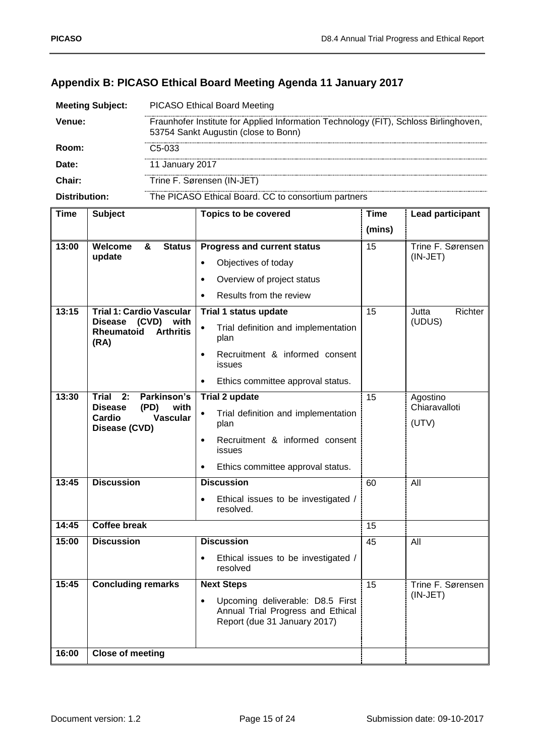| <b>Meeting Subject:</b> | <b>PICASO Ethical Board Meeting</b>                                                                                          |
|-------------------------|------------------------------------------------------------------------------------------------------------------------------|
| Venue:                  | Fraunhofer Institute for Applied Information Technology (FIT), Schloss Birlinghoven,<br>53754 Sankt Augustin (close to Bonn) |
| Room:                   | C5-033                                                                                                                       |
| Date:                   | 11 January 2017                                                                                                              |
| Chair:                  | Trine F. Sørensen (IN-JET)                                                                                                   |
| Distribution:           | The PICASO Ethical Board. CC to consortium partners                                                                          |

## <span id="page-14-0"></span>**Appendix B: PICASO Ethical Board Meeting Agenda 11 January 2017**

| <b>Time</b> | <b>Subject</b>                                                         | <b>Topics to be covered</b>                                                                                        | <b>Time</b>     | <b>Lead participant</b>   |
|-------------|------------------------------------------------------------------------|--------------------------------------------------------------------------------------------------------------------|-----------------|---------------------------|
|             |                                                                        |                                                                                                                    | (mins)          |                           |
| 13:00       | <b>Status</b><br>Welcome<br>&                                          | <b>Progress and current status</b>                                                                                 | 15              | Trine F. Sørensen         |
|             | update                                                                 | Objectives of today<br>$\bullet$                                                                                   |                 | $(IN-JET)$                |
|             |                                                                        | Overview of project status<br>$\bullet$                                                                            |                 |                           |
|             |                                                                        | Results from the review                                                                                            |                 |                           |
| 13:15       | <b>Trial 1: Cardio Vascular</b>                                        | Trial 1 status update                                                                                              | 15              | Jutta<br>Richter          |
|             | (CVD) with<br><b>Disease</b><br>Rheumatoid<br><b>Arthritis</b><br>(RA) | Trial definition and implementation<br>$\bullet$<br>plan                                                           |                 | (UDUS)                    |
|             |                                                                        | Recruitment & informed consent<br>$\bullet$<br><b>issues</b>                                                       |                 |                           |
|             |                                                                        | Ethics committee approval status.<br>$\bullet$                                                                     |                 |                           |
| 13:30       | $Trial$ 2:<br>Parkinson's<br><b>Disease</b><br>(PD)                    | Trial 2 update                                                                                                     | $\overline{15}$ | Agostino<br>Chiaravalloti |
|             | with<br>Cardio<br><b>Vascular</b><br>Disease (CVD)                     | Trial definition and implementation<br>$\bullet$<br>plan                                                           |                 | (UTV)                     |
|             |                                                                        | Recruitment & informed consent<br>$\bullet$<br><b>issues</b>                                                       |                 |                           |
|             |                                                                        | Ethics committee approval status.<br>$\bullet$                                                                     |                 |                           |
| 13:45       | <b>Discussion</b>                                                      | <b>Discussion</b>                                                                                                  | 60              | All                       |
|             |                                                                        | Ethical issues to be investigated /<br>$\bullet$<br>resolved.                                                      |                 |                           |
| 14:45       | <b>Coffee break</b>                                                    |                                                                                                                    | 15              |                           |
| 15:00       | <b>Discussion</b>                                                      | <b>Discussion</b>                                                                                                  | $\overline{45}$ | All                       |
|             |                                                                        | Ethical issues to be investigated /<br>resolved                                                                    |                 |                           |
| 15:45       | <b>Concluding remarks</b>                                              | <b>Next Steps</b>                                                                                                  | 15              | Trine F. Sørensen         |
|             |                                                                        | Upcoming deliverable: D8.5 First<br>$\bullet$<br>Annual Trial Progress and Ethical<br>Report (due 31 January 2017) |                 | $(IN-JET)$                |
| 16:00       | <b>Close of meeting</b>                                                |                                                                                                                    |                 |                           |
|             |                                                                        |                                                                                                                    |                 |                           |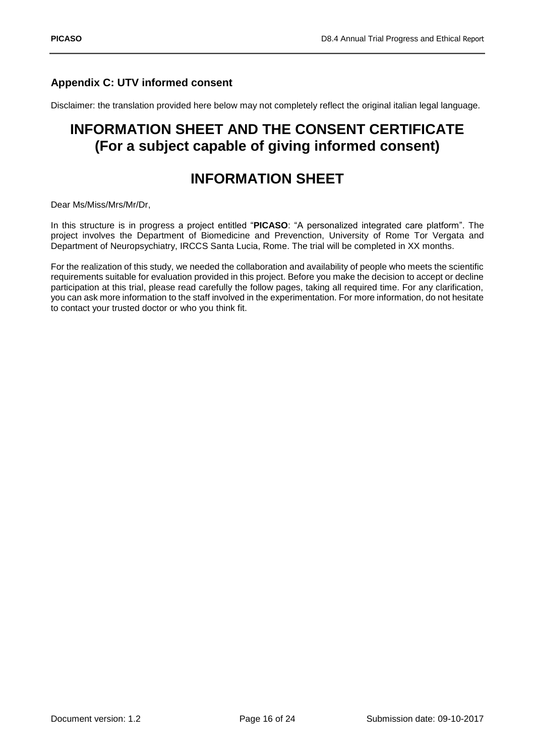## <span id="page-15-0"></span>**Appendix C: UTV informed consent**

Disclaimer: the translation provided here below may not completely reflect the original italian legal language.

## **INFORMATION SHEET AND THE CONSENT CERTIFICATE (For a subject capable of giving informed consent)**

## **INFORMATION SHEET**

Dear Ms/Miss/Mrs/Mr/Dr,

In this structure is in progress a project entitled "**PICASO**: "A personalized integrated care platform". The project involves the Department of Biomedicine and Prevenction, University of Rome Tor Vergata and Department of Neuropsychiatry, IRCCS Santa Lucia, Rome. The trial will be completed in XX months.

For the realization of this study, we needed the collaboration and availability of people who meets the scientific requirements suitable for evaluation provided in this project. Before you make the decision to accept or decline participation at this trial, please read carefully the follow pages, taking all required time. For any clarification, you can ask more information to the staff involved in the experimentation. For more information, do not hesitate to contact your trusted doctor or who you think fit.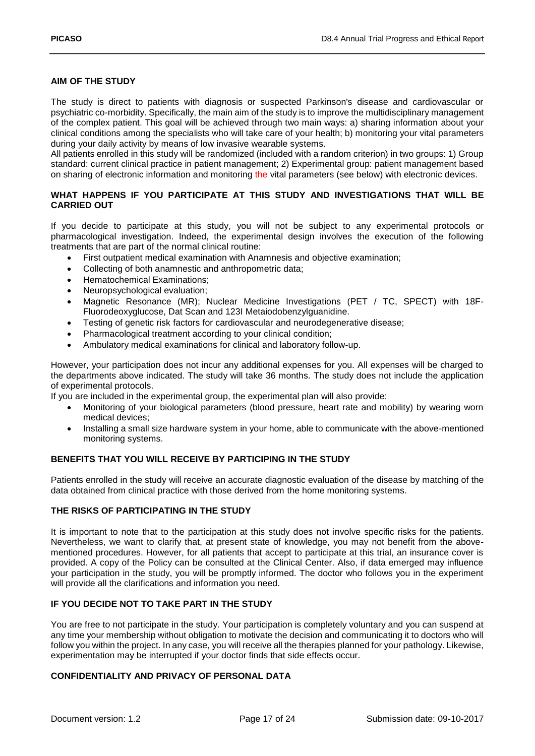#### **AIM OF THE STUDY**

The study is direct to patients with diagnosis or suspected Parkinson's disease and cardiovascular or psychiatric co-morbidity. Specifically, the main aim of the study is to improve the multidisciplinary management of the complex patient. This goal will be achieved through two main ways: a) sharing information about your clinical conditions among the specialists who will take care of your health; b) monitoring your vital parameters during your daily activity by means of low invasive wearable systems.

All patients enrolled in this study will be randomized (included with a random criterion) in two groups: 1) Group standard: current clinical practice in patient management; 2) Experimental group: patient management based on sharing of electronic information and monitoring the vital parameters (see below) with electronic devices.

#### **WHAT HAPPENS IF YOU PARTICIPATE AT THIS STUDY AND INVESTIGATIONS THAT WILL BE CARRIED OUT**

If you decide to participate at this study, you will not be subject to any experimental protocols or pharmacological investigation. Indeed, the experimental design involves the execution of the following treatments that are part of the normal clinical routine:

- First outpatient medical examination with Anamnesis and objective examination;
- Collecting of both anamnestic and anthropometric data;
- Hematochemical Examinations;
- Neuropsychological evaluation;
- Magnetic Resonance (MR); Nuclear Medicine Investigations (PET / TC, SPECT) with 18F-Fluorodeoxyglucose, Dat Scan and 123I Metaiodobenzylguanidine.
- Testing of genetic risk factors for cardiovascular and neurodegenerative disease;
- Pharmacological treatment according to your clinical condition;
- Ambulatory medical examinations for clinical and laboratory follow-up.

However, your participation does not incur any additional expenses for you. All expenses will be charged to the departments above indicated. The study will take 36 months. The study does not include the application of experimental protocols.

If you are included in the experimental group, the experimental plan will also provide:

- Monitoring of your biological parameters (blood pressure, heart rate and mobility) by wearing worn medical devices;
- Installing a small size hardware system in your home, able to communicate with the above-mentioned monitoring systems.

#### **BENEFITS THAT YOU WILL RECEIVE BY PARTICIPING IN THE STUDY**

Patients enrolled in the study will receive an accurate diagnostic evaluation of the disease by matching of the data obtained from clinical practice with those derived from the home monitoring systems.

#### **THE RISKS OF PARTICIPATING IN THE STUDY**

It is important to note that to the participation at this study does not involve specific risks for the patients. Nevertheless, we want to clarify that, at present state of knowledge, you may not benefit from the abovementioned procedures. However, for all patients that accept to participate at this trial, an insurance cover is provided. A copy of the Policy can be consulted at the Clinical Center. Also, if data emerged may influence your participation in the study, you will be promptly informed. The doctor who follows you in the experiment will provide all the clarifications and information you need.

#### **IF YOU DECIDE NOT TO TAKE PART IN THE STUDY**

You are free to not participate in the study. Your participation is completely voluntary and you can suspend at any time your membership without obligation to motivate the decision and communicating it to doctors who will follow you within the project. In any case, you will receive all the therapies planned for your pathology. Likewise, experimentation may be interrupted if your doctor finds that side effects occur.

#### **CONFIDENTIALITY AND PRIVACY OF PERSONAL DATA**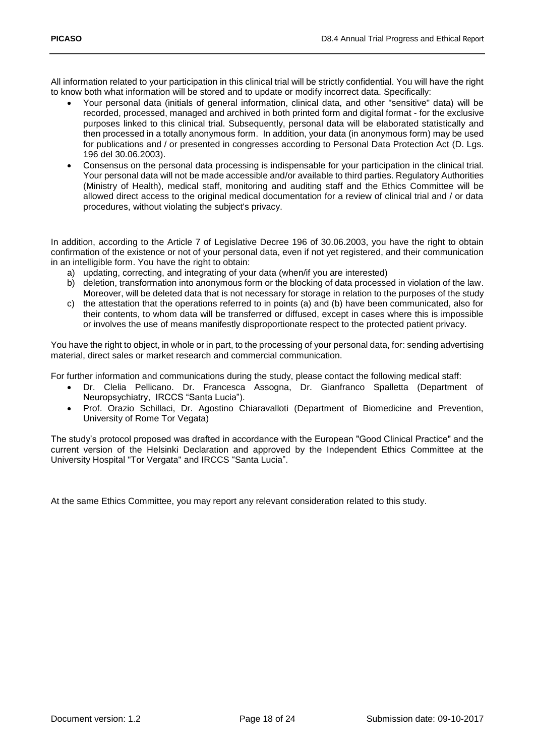All information related to your participation in this clinical trial will be strictly confidential. You will have the right to know both what information will be stored and to update or modify incorrect data. Specifically:

- Your personal data (initials of general information, clinical data, and other "sensitive" data) will be recorded, processed, managed and archived in both printed form and digital format - for the exclusive purposes linked to this clinical trial. Subsequently, personal data will be elaborated statistically and then processed in a totally anonymous form. In addition, your data (in anonymous form) may be used for publications and / or presented in congresses according to Personal Data Protection Act (D. Lgs. 196 del 30.06.2003).
- Consensus on the personal data processing is indispensable for your participation in the clinical trial. Your personal data will not be made accessible and/or available to third parties. Regulatory Authorities (Ministry of Health), medical staff, monitoring and auditing staff and the Ethics Committee will be allowed direct access to the original medical documentation for a review of clinical trial and / or data procedures, without violating the subject's privacy.

In addition, according to the Article 7 of Legislative Decree 196 of 30.06.2003, you have the right to obtain confirmation of the existence or not of your personal data, even if not yet registered, and their communication in an intelligible form. You have the right to obtain:

- a) updating, correcting, and integrating of your data (when/if you are interested)
- b) deletion, transformation into anonymous form or the blocking of data processed in violation of the law. Moreover, will be deleted data that is not necessary for storage in relation to the purposes of the study
- c) the attestation that the operations referred to in points (a) and (b) have been communicated, also for their contents, to whom data will be transferred or diffused, except in cases where this is impossible or involves the use of means manifestly disproportionate respect to the protected patient privacy.

You have the right to object, in whole or in part, to the processing of your personal data, for: sending advertising material, direct sales or market research and commercial communication.

For further information and communications during the study, please contact the following medical staff:

- Dr. Clelia Pellicano. Dr. Francesca Assogna, Dr. Gianfranco Spalletta (Department of Neuropsychiatry, IRCCS "Santa Lucia").
- Prof. Orazio Schillaci, Dr. Agostino Chiaravalloti (Department of Biomedicine and Prevention, University of Rome Tor Vegata)

The study's protocol proposed was drafted in accordance with the European "Good Clinical Practice" and the current version of the Helsinki Declaration and approved by the Independent Ethics Committee at the University Hospital "Tor Vergata" and IRCCS "Santa Lucia".

At the same Ethics Committee, you may report any relevant consideration related to this study.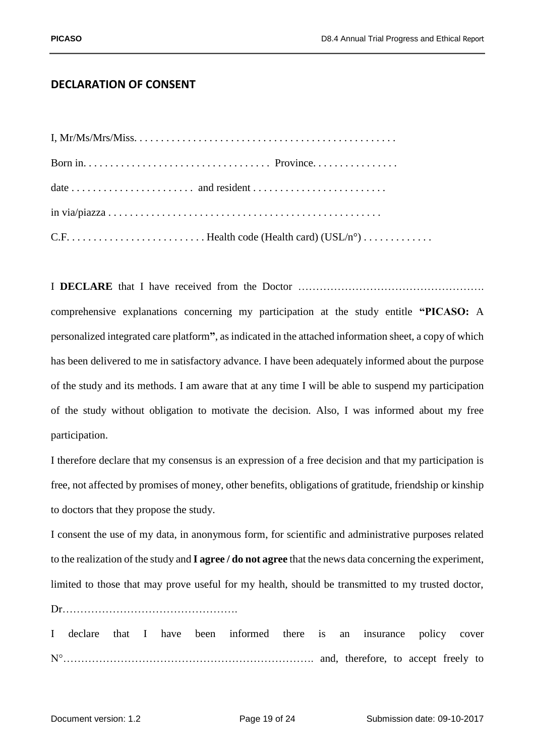## **DECLARATION OF CONSENT**

I **DECLARE** that I have received from the Doctor ……………………………………………. comprehensive explanations concerning my participation at the study entitle **"PICASO:** A personalized integrated care platform**"**, as indicated in the attached information sheet, a copy of which has been delivered to me in satisfactory advance. I have been adequately informed about the purpose of the study and its methods. I am aware that at any time I will be able to suspend my participation of the study without obligation to motivate the decision. Also, I was informed about my free participation.

I therefore declare that my consensus is an expression of a free decision and that my participation is free, not affected by promises of money, other benefits, obligations of gratitude, friendship or kinship to doctors that they propose the study.

I consent the use of my data, in anonymous form, for scientific and administrative purposes related to the realization of the study and **I agree / do not agree** that the news data concerning the experiment, limited to those that may prove useful for my health, should be transmitted to my trusted doctor,

Dr………………………………………….

I declare that I have been informed there is an insurance policy cover N°……………………………………………………………. and, therefore, to accept freely to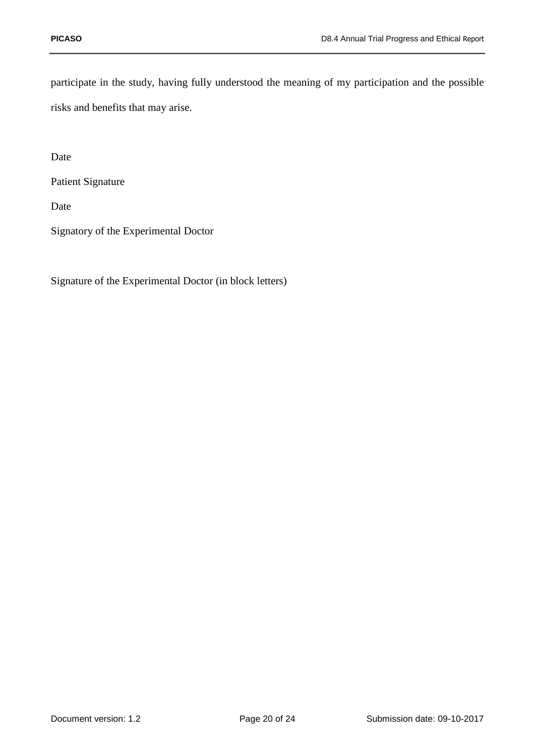participate in the study, having fully understood the meaning of my participation and the possible risks and benefits that may arise.

Date

Patient Signature

Date

Signatory of the Experimental Doctor

Signature of the Experimental Doctor (in block letters)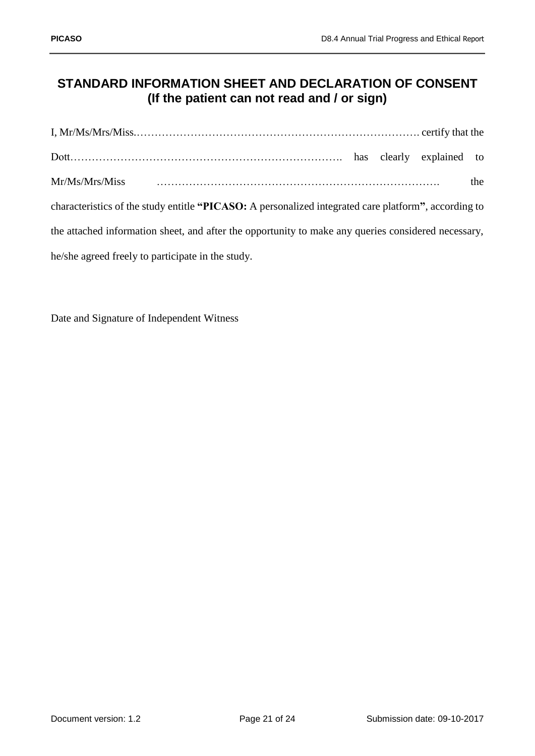## **STANDARD INFORMATION SHEET AND DECLARATION OF CONSENT (If the patient can not read and / or sign)**

| Mr/Ms/Mrs/Miss                                                                                       |  | the |
|------------------------------------------------------------------------------------------------------|--|-----|
| characteristics of the study entitle "PICASO: A personalized integrated care platform", according to |  |     |
| the attached information sheet, and after the opportunity to make any queries considered necessary,  |  |     |
| he/she agreed freely to participate in the study.                                                    |  |     |

Date and Signature of Independent Witness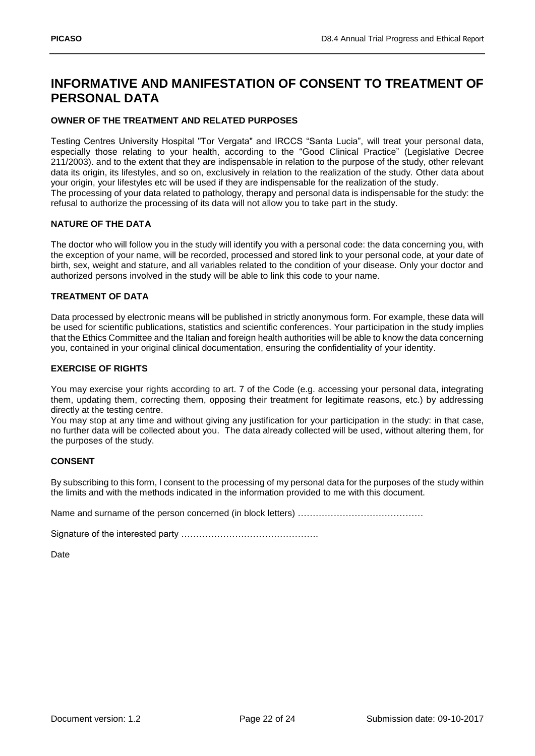## **INFORMATIVE AND MANIFESTATION OF CONSENT TO TREATMENT OF PERSONAL DATA**

#### **OWNER OF THE TREATMENT AND RELATED PURPOSES**

Testing Centres University Hospital "Tor Vergata" and IRCCS "Santa Lucia", will treat your personal data, especially those relating to your health, according to the "Good Clinical Practice" (Legislative Decree 211/2003). and to the extent that they are indispensable in relation to the purpose of the study, other relevant data its origin, its lifestyles, and so on, exclusively in relation to the realization of the study. Other data about your origin, your lifestyles etc will be used if they are indispensable for the realization of the study. The processing of your data related to pathology, therapy and personal data is indispensable for the study: the refusal to authorize the processing of its data will not allow you to take part in the study.

#### **NATURE OF THE DATA**

The doctor who will follow you in the study will identify you with a personal code: the data concerning you, with the exception of your name, will be recorded, processed and stored link to your personal code, at your date of birth, sex, weight and stature, and all variables related to the condition of your disease. Only your doctor and authorized persons involved in the study will be able to link this code to your name.

#### **TREATMENT OF DATA**

Data processed by electronic means will be published in strictly anonymous form. For example, these data will be used for scientific publications, statistics and scientific conferences. Your participation in the study implies that the Ethics Committee and the Italian and foreign health authorities will be able to know the data concerning you, contained in your original clinical documentation, ensuring the confidentiality of your identity.

#### **EXERCISE OF RIGHTS**

You may exercise your rights according to art. 7 of the Code (e.g. accessing your personal data, integrating them, updating them, correcting them, opposing their treatment for legitimate reasons, etc.) by addressing directly at the testing centre.

You may stop at any time and without giving any justification for your participation in the study: in that case, no further data will be collected about you. The data already collected will be used, without altering them, for the purposes of the study.

#### **CONSENT**

By subscribing to this form, I consent to the processing of my personal data for the purposes of the study within the limits and with the methods indicated in the information provided to me with this document.

Name and surname of the person concerned (in block letters) ……………………………………………………

Signature of the interested party ……………………………………….

Date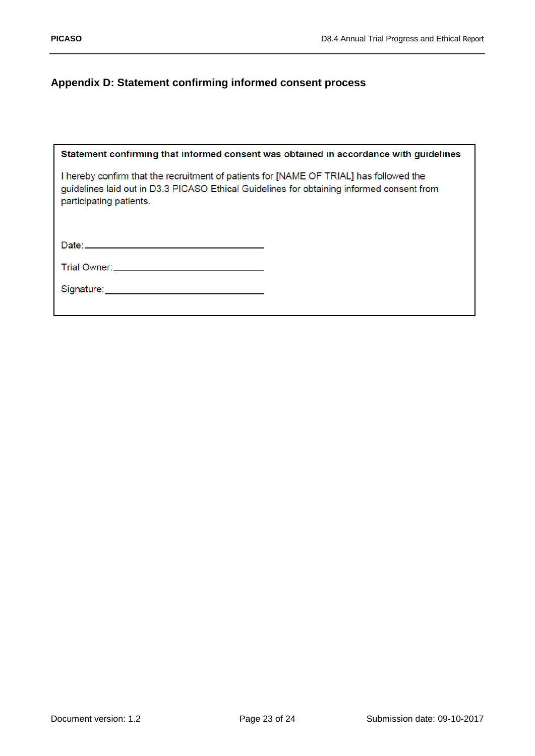## <span id="page-22-0"></span>**Appendix D: Statement confirming informed consent process**

| Statement confirming that informed consent was obtained in accordance with guidelines                                                                                                                          |
|----------------------------------------------------------------------------------------------------------------------------------------------------------------------------------------------------------------|
| I hereby confirm that the recruitment of patients for [NAME OF TRIAL] has followed the<br>guidelines laid out in D3.3 PICASO Ethical Guidelines for obtaining informed consent from<br>participating patients. |
|                                                                                                                                                                                                                |
|                                                                                                                                                                                                                |
|                                                                                                                                                                                                                |
|                                                                                                                                                                                                                |
|                                                                                                                                                                                                                |